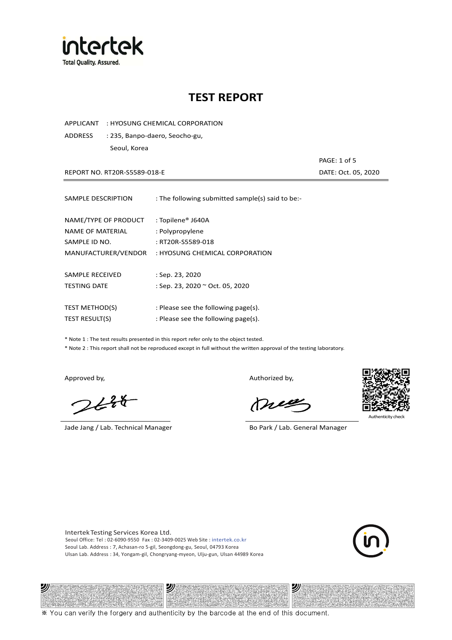

APPLICANT : HYOSUNG CHEMICAL CORPORATION

ADDRESS : 235, Banpo-daero, Seocho-gu, Seoul, Korea

REPORT NO. RT20R-S5589-018-E **DATE: Oct. 05, 2020** 

PAGE: 1 of 5

| SAMPLE DESCRIPTION    | : The following submitted sample(s) said to be:- |
|-----------------------|--------------------------------------------------|
| NAME/TYPE OF PRODUCT  | : Topilene® J640A                                |
| NAME OF MATERIAL      | : Polypropylene                                  |
| SAMPLE ID NO.         | : RT20R-S5589-018                                |
| MANUFACTURER/VENDOR   | : HYOSUNG CHEMICAL CORPORATION                   |
|                       |                                                  |
| SAMPLE RECEIVED       | : Sep. 23, 2020                                  |
| <b>TESTING DATE</b>   | : Sep. 23, 2020 ~ Oct. 05, 2020                  |
| <b>TEST METHOD(S)</b> | : Please see the following page(s).              |
| <b>TEST RESULT(S)</b> | : Please see the following page(s).              |

\* Note 1 : The test results presented in this report refer only to the object tested.

\* Note 2 : This report shall not be reproduced except in full without the written approval of the testing laboratory.

"

 $2648$ 

Jade Jang / Lab. Technical Manager Bo Park / Lab. General Manager

Approved by, and the control of the control of the Authorized by,

Mie



沙

Intertek Testing Services Korea Ltd. Seoul Office: Tel : 02-6090-9550 Fax : 02-3409-0025 Web Site : intertek.co.kr Seoul Lab. Address : 7, Achasan-ro 5-gil, Seongdong-gu, Seoul, 04793 Korea Ulsan Lab. Address : 34, Yongam-gil, Chongryang-myeon, Ulju-gun, Ulsan 44989 Korea

עי

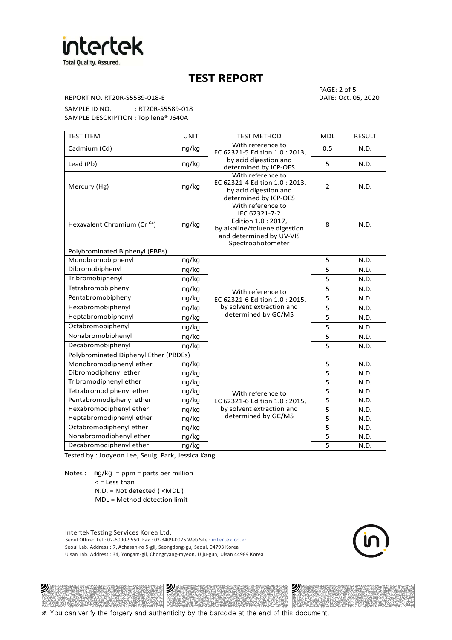

REPORT NO. RT20R-S5589-018-E DATE: Oct. 05, 2020

PAGE: 2 of 5

SAMPLE ID NO. : RT20R-S5589-018 SAMPLE DESCRIPTION : Topilene® J640A

TEST ITEM TEST IN TEST METHOD NOLL RESULT Cadmium (Cd) ㎎/㎏ With reference to IEC 62321-5 Edition 1.0 : 2013, by acid digestion and determined by ICP-OES 0.5 N.D. Lead (Pb)  $\log/kg$   $\log kg$  and digestion and  $\log k$  superiority of  $\log k$  or  $\log k$  5  $\log k$  N.D. Mercury (Hg) ㎎/㎏ With reference to IEC 62321-4 Edition 1.0 : 2013, by acid digestion and determined by ICP-OES 2 N.D. Hexavalent Chromium (Cr<sup>6+</sup>) | mg/kg With reference to IEC 62321-7-2 Edition 1.0 : 2017, by alkaline/toluene digestion and determined by UV-VIS Spectrophotometer 8 N.D. Polybrominated Biphenyl (PBBs) Monobromobiphenyl ng/kg With reference to Pentabromobiphenyl mg/kg IEC 62321-6 Edition 1.0 : 2015, 5 N.D. Hexabromobiphenyl | <sub>mg/kg</sub> | by solvent extraction and | 5 | N.D. determined by GC/MS 5 N.D. Dibromobiphenyl ㎎/㎏ 5 N.D. Tribromobiphenyl and ma/kg 5 N.D. Tetrabromobiphenyl mg/kg N/ith reference to 5 N.D. Heptabromobiphenyl  $\log kq$  determined by GC/MS  $\vert$  5 N.D. Octabromobiphenyl ng/kg 5 N.D. Nonabromobiphenyl mg/kg 5 N.D. Decabromobiphenyl ng/kg 5 N.D. Polybrominated Diphenyl Ether (PBDEs) Monobromodiphenyl ether ng/kg With reference to Pentabromodiphenyl ether  $\parallel$  mg/kg  $\parallel$  IEC 62321-6 Edition 1.0 : 2015,  $\parallel$  5 N.D. by solvent extraction and determined by GC/MS 5 N.D. Dibromodiphenyl ether  $\vert$  mg/kg  $\vert$  5 N.D. Tribromodiphenyl ether and mg/kg contact the method of the state of the N.D. Tetrabromodiphenyl ether | mg/kg With reference to 5 | N.D. Hexabromodiphenyl ether  $\vert$  mg/kg  $\vert$  by solvent extraction and  $\vert$  5 N.D. Heptabromodiphenyl ether ㎎/㎏ 5 N.D. Octabromodiphenyl ether ng/kg 1 mg/kg 5 N.D. Nonabromodiphenyl ether ng/kg 5 N.D. Decabromodiphenyl ether  $\vert$  mg/kg  $\vert$  5 N.D.

Tested by : Jooyeon Lee, Seulgi Park, Jessica Kang

Notes : mg/kg = ppm = parts per million < = Less than

N.D. = Not detected ( <MDL )

MDL = Method detection limit

Intertek Testing Services Korea Ltd. Seoul Office: Tel : 02-6090-9550 Fax : 02-3409-0025 Web Site : intertek.co.kr Seoul Lab. Address : 7, Achasan-ro 5-gil, Seongdong-gu, Seoul, 04793 Korea Ulsan Lab. Address : 34, Yongam-gil, Chongryang-myeon, Ulju-gun, Ulsan 44989 Korea

沙



沙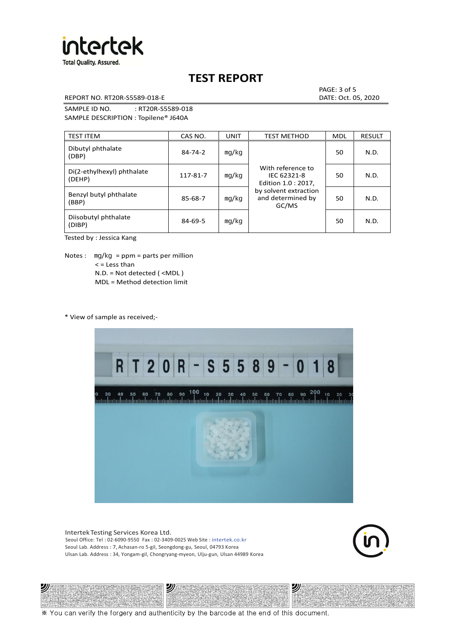

REPORT NO. RT20R-S5589-018-E DATE: Oct. 05, 2020

PAGE: 3 of 5

SAMPLE ID NO. : RT20R-S5589-018 SAMPLE DESCRIPTION : Topilene® J640A

| <b>TEST ITEM</b>                     | CAS NO.       | <b>UNIT</b> | <b>TEST METHOD</b>                                      | <b>MDL</b> | <b>RESULT</b> |
|--------------------------------------|---------------|-------------|---------------------------------------------------------|------------|---------------|
| Dibutyl phthalate<br>(DBP)           | $84 - 74 - 2$ | mq/kg       | With reference to<br>IEC 62321-8<br>Edition 1.0 : 2017, | 50         | N.D.          |
| Di(2-ethylhexyl) phthalate<br>(DEHP) | 117-81-7      | mg/kg       |                                                         | 50         | N.D.          |
| Benzyl butyl phthalate<br>(BBP)      | 85-68-7       | mg/kg       | by solvent extraction<br>and determined by<br>GC/MS     | 50         | N.D.          |
| Diisobutyl phthalate<br>(DIBP)       | $84 - 69 - 5$ | mg/kg       |                                                         | 50         | N.D.          |

Tested by : Jessica Kang

Notes :  $mq/kg = ppm = parts per million$  $<$  = Less than N.D. = Not detected ( <MDL ) MDL = Method detection limit

\* View of sample as received;-

沙



Intertek Testing Services Korea Ltd. Seoul Office: Tel : 02-6090-9550 Fax : 02-3409-0025 Web Site : intertek.co.kr Seoul Lab. Address : 7, Achasan-ro 5-gil, Seongdong-gu, Seoul, 04793 Korea Ulsan Lab. Address : 34, Yongam-gil, Chongryang-myeon, Ulju-gun, Ulsan 44989 Korea

沙



沙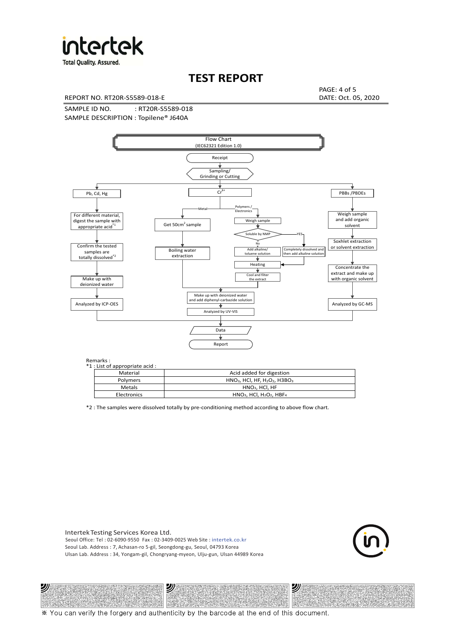

**Total Quality. Assured.** 

## **TEST REPORT**

REPORT NO. RT20R-S5589-018-E DATE: Oct. 05, 2020

PAGE: 4 of 5

SAMPLE ID NO. : RT20R-S5589-018 SAMPLE DESCRIPTION : Topilene® J640A



| *1 : List of appropriate acid : |                                                                     |
|---------------------------------|---------------------------------------------------------------------|
| Material                        | Acid added for digestion                                            |
| Polymers                        | $HNO3$ , HCl, HF, H <sub>2</sub> O <sub>2</sub> , H3BO <sub>3</sub> |
| Metals                          | $HNO3$ . HCl. HF                                                    |
| Electronics                     | $HNO3$ , HCl, H <sub>2</sub> O <sub>2</sub> , HBF <sub>4</sub>      |

\*2 : The samples were dissolved totally by pre-conditioning method according to above flow chart.

Intertek Testing Services Korea Ltd. Seoul Office: Tel : 02-6090-9550 Fax : 02-3409-0025 Web Site : intertek.co.kr Seoul Lab. Address : 7, Achasan-ro 5-gil, Seongdong-gu, Seoul, 04793 Korea Ulsan Lab. Address : 34, Yongam-gil, Chongryang-myeon, Ulju-gun, Ulsan 44989 Korea

沙

沙



沙